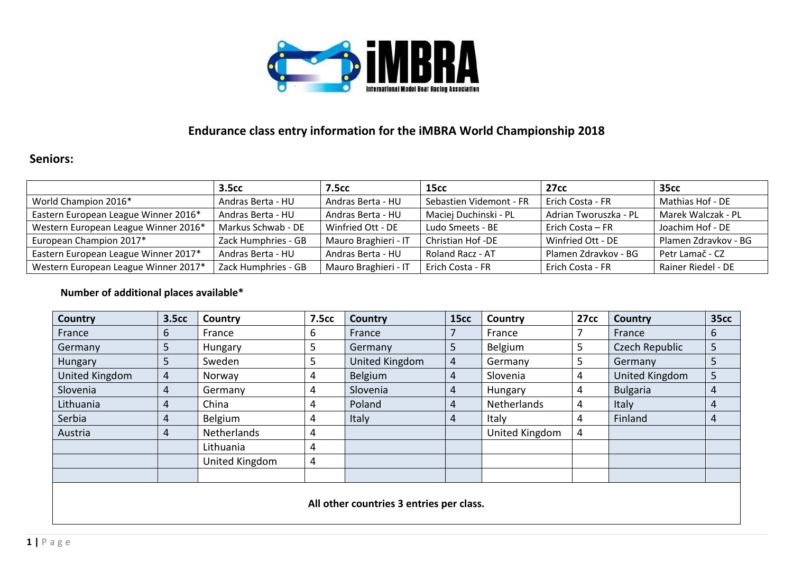

## **Endurance class entry information for the iMBRA World Championship 2018**

## **Seniors:**

|                                      | 3.5cc               | <b>7.5cc</b>         | 15 <sub>cc</sub>        | 27cc                    | <b>35cc</b>          |
|--------------------------------------|---------------------|----------------------|-------------------------|-------------------------|----------------------|
| World Champion 2016*                 | Andras Berta - HU   | Andras Berta - HU    | Sebastien Videmont - FR | Erich Costa - FR        | Mathias Hof - DE     |
| Eastern European League Winner 2016* | Andras Berta - HU   | Andras Berta - HU    | Maciej Duchinski - PL   | Adrian Tworuszka - PL   | Marek Walczak - PL   |
| Western European League Winner 2016* | Markus Schwab - DE  | Winfried Ott - DE    | Ludo Smeets - BE        | <b>Erich Costa – FR</b> | Joachim Hof - DE     |
| European Champion 2017*              | Zack Humphries - GB | Mauro Braghieri - IT | Christian Hof -DE       | Winfried Ott - DE       | Plamen Zdravkov - BG |
| Eastern European League Winner 2017* | Andras Berta - HU   | Andras Berta - HU    | Roland Racz - AT        | Plamen Zdravkov - BG    | Petr Lamač - CZ      |
| Western European League Winner 2017* | Zack Humphries - GB | Mauro Braghieri - IT | Erich Costa - FR        | Erich Costa - FR        | Rainer Riedel - DE   |

## **Number of additional places available\***

| Country                                  | <b>3.5cc</b>   | Country        | <b>7.5cc</b> | Country        | <b>15cc</b>    | Country        | <b>27cc</b> | <b>Country</b>  | <b>35cc</b> |  |  |  |
|------------------------------------------|----------------|----------------|--------------|----------------|----------------|----------------|-------------|-----------------|-------------|--|--|--|
| France                                   | 6              | France         | 6            | France         |                | France         |             | France          | 6           |  |  |  |
| Germany                                  | 5              | Hungary        | 5            | Germany        | 5              | Belgium        | 5           | Czech Republic  | 5           |  |  |  |
| Hungary                                  | 5              | Sweden         | 5            | United Kingdom | $\overline{4}$ | Germany        | 5           | Germany         | 5           |  |  |  |
| United Kingdom                           | $\overline{4}$ | Norway         | 4            | Belgium        | 4              | Slovenia       | 4           | United Kingdom  | 5           |  |  |  |
| Slovenia                                 | 4              | Germany        | 4            | Slovenia       | 4              | Hungary        | 4           | <b>Bulgaria</b> | 4           |  |  |  |
| Lithuania                                | 4              | China          | 4            | Poland         | 4              | Netherlands    | 4           | Italy           | 4           |  |  |  |
| Serbia                                   | 4              | Belgium        | 4            | Italy          | 4              | Italy          | 4           | Finland         | 4           |  |  |  |
| Austria                                  | 4              | Netherlands    | 4            |                |                | United Kingdom | 4           |                 |             |  |  |  |
|                                          |                | Lithuania      | 4            |                |                |                |             |                 |             |  |  |  |
|                                          |                | United Kingdom | 4            |                |                |                |             |                 |             |  |  |  |
|                                          |                |                |              |                |                |                |             |                 |             |  |  |  |
| All other countries 3 entries per class. |                |                |              |                |                |                |             |                 |             |  |  |  |